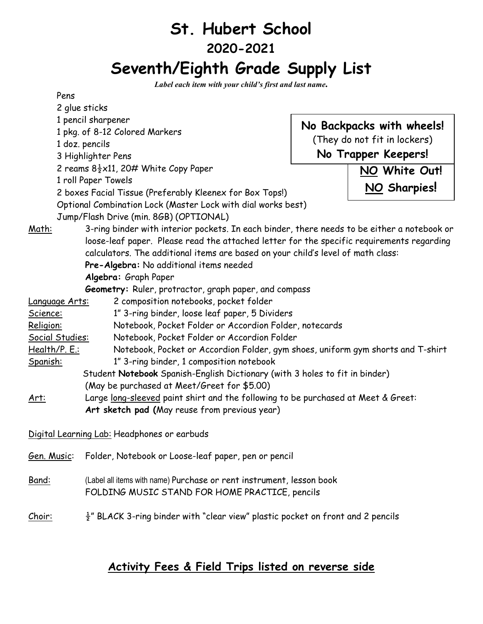# **St. Hubert School 2020-2021 Seventh/Eighth Grade Supply List**

*Label each item with your child's first and last name.*

|                                                                                                      | Pens                                                                                                                   |                                                                                  |               |  |
|------------------------------------------------------------------------------------------------------|------------------------------------------------------------------------------------------------------------------------|----------------------------------------------------------------------------------|---------------|--|
|                                                                                                      | 2 glue sticks                                                                                                          |                                                                                  |               |  |
|                                                                                                      | 1 pencil sharpener                                                                                                     | No Backpacks with wheels!<br>(They do not fit in lockers)<br>No Trapper Keepers! |               |  |
|                                                                                                      | 1 pkg. of 8-12 Colored Markers                                                                                         |                                                                                  |               |  |
|                                                                                                      | 1 doz. pencils                                                                                                         |                                                                                  |               |  |
|                                                                                                      | 3 Highlighter Pens                                                                                                     |                                                                                  |               |  |
|                                                                                                      | 2 reams $8\frac{1}{2} \times 11$ , 20# White Copy Paper                                                                |                                                                                  | NO White Out! |  |
|                                                                                                      | 1 roll Paper Towels                                                                                                    |                                                                                  |               |  |
| 2 boxes Facial Tissue (Preferably Kleenex for Box Tops!)                                             |                                                                                                                        | NO Sharpies!                                                                     |               |  |
|                                                                                                      | Optional Combination Lock (Master Lock with dial works best)                                                           |                                                                                  |               |  |
|                                                                                                      | Jump/Flash Drive (min. 8GB) (OPTIONAL)                                                                                 |                                                                                  |               |  |
| 3-ring binder with interior pockets. In each binder, there needs to be either a notebook or<br>Math: |                                                                                                                        |                                                                                  |               |  |
|                                                                                                      | loose-leaf paper. Please read the attached letter for the specific requirements regarding                              |                                                                                  |               |  |
|                                                                                                      | calculators. The additional items are based on your child's level of math class:                                       |                                                                                  |               |  |
| Pre-Algebra: No additional items needed<br>Algebra: Graph Paper                                      |                                                                                                                        |                                                                                  |               |  |
|                                                                                                      |                                                                                                                        |                                                                                  |               |  |
| <u>Language Arts:</u>                                                                                | 2 composition notebooks, pocket folder                                                                                 |                                                                                  |               |  |
| 1" 3-ring binder, loose leaf paper, 5 Dividers<br>Science:                                           |                                                                                                                        |                                                                                  |               |  |
| Notebook, Pocket Folder or Accordion Folder, notecards<br>Religion:                                  |                                                                                                                        |                                                                                  |               |  |
| Social Studies:                                                                                      | Notebook, Pocket Folder or Accordion Folder                                                                            |                                                                                  |               |  |
| <u>Health/P. E.:</u>                                                                                 | Notebook, Pocket or Accordion Folder, gym shoes, uniform gym shorts and T-shirt                                        |                                                                                  |               |  |
| <u>Spanish:</u>                                                                                      | 1" 3-ring binder, 1 composition notebook                                                                               |                                                                                  |               |  |
|                                                                                                      | Student Notebook Spanish-English Dictionary (with 3 holes to fit in binder)                                            |                                                                                  |               |  |
|                                                                                                      | (May be purchased at Meet/Greet for \$5.00)                                                                            |                                                                                  |               |  |
| Art:                                                                                                 | Large long-sleeved paint shirt and the following to be purchased at Meet & Greet:                                      |                                                                                  |               |  |
| Art sketch pad (May reuse from previous year)                                                        |                                                                                                                        |                                                                                  |               |  |
|                                                                                                      |                                                                                                                        |                                                                                  |               |  |
|                                                                                                      | Digital Learning Lab: Headphones or earbuds                                                                            |                                                                                  |               |  |
| Gen. Music:                                                                                          | Folder, Notebook or Loose-leaf paper, pen or pencil                                                                    |                                                                                  |               |  |
| <u>Band:</u>                                                                                         | (Label all items with name) Purchase or rent instrument, lesson book<br>FOLDING MUSIC STAND FOR HOME PRACTICE, pencils |                                                                                  |               |  |
| <u>Choir:</u>                                                                                        | $\frac{1}{2}$ " BLACK 3-ring binder with "clear view" plastic pocket on front and 2 pencils                            |                                                                                  |               |  |

## **Activity Fees & Field Trips listed on reverse side**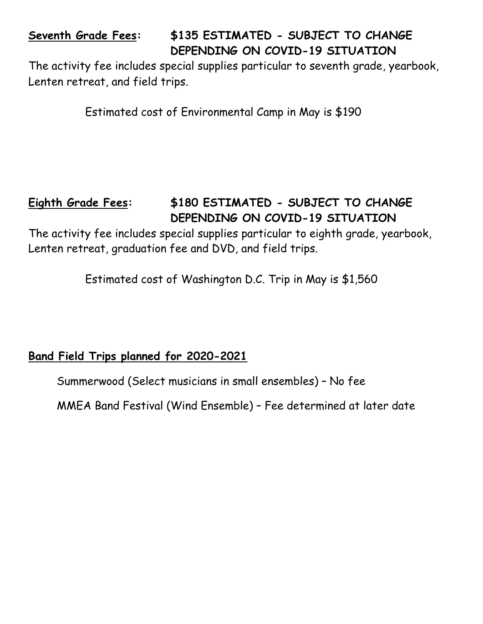## **Seventh Grade Fees: \$135 ESTIMATED - SUBJECT TO CHANGE DEPENDING ON COVID-19 SITUATION**

The activity fee includes special supplies particular to seventh grade, yearbook, Lenten retreat, and field trips.

Estimated cost of Environmental Camp in May is \$190

## **Eighth Grade Fees: \$180 ESTIMATED - SUBJECT TO CHANGE DEPENDING ON COVID-19 SITUATION**

The activity fee includes special supplies particular to eighth grade, yearbook, Lenten retreat, graduation fee and DVD, and field trips.

Estimated cost of Washington D.C. Trip in May is \$1,560

## **Band Field Trips planned for 2020-2021**

Summerwood (Select musicians in small ensembles) – No fee

MMEA Band Festival (Wind Ensemble) – Fee determined at later date